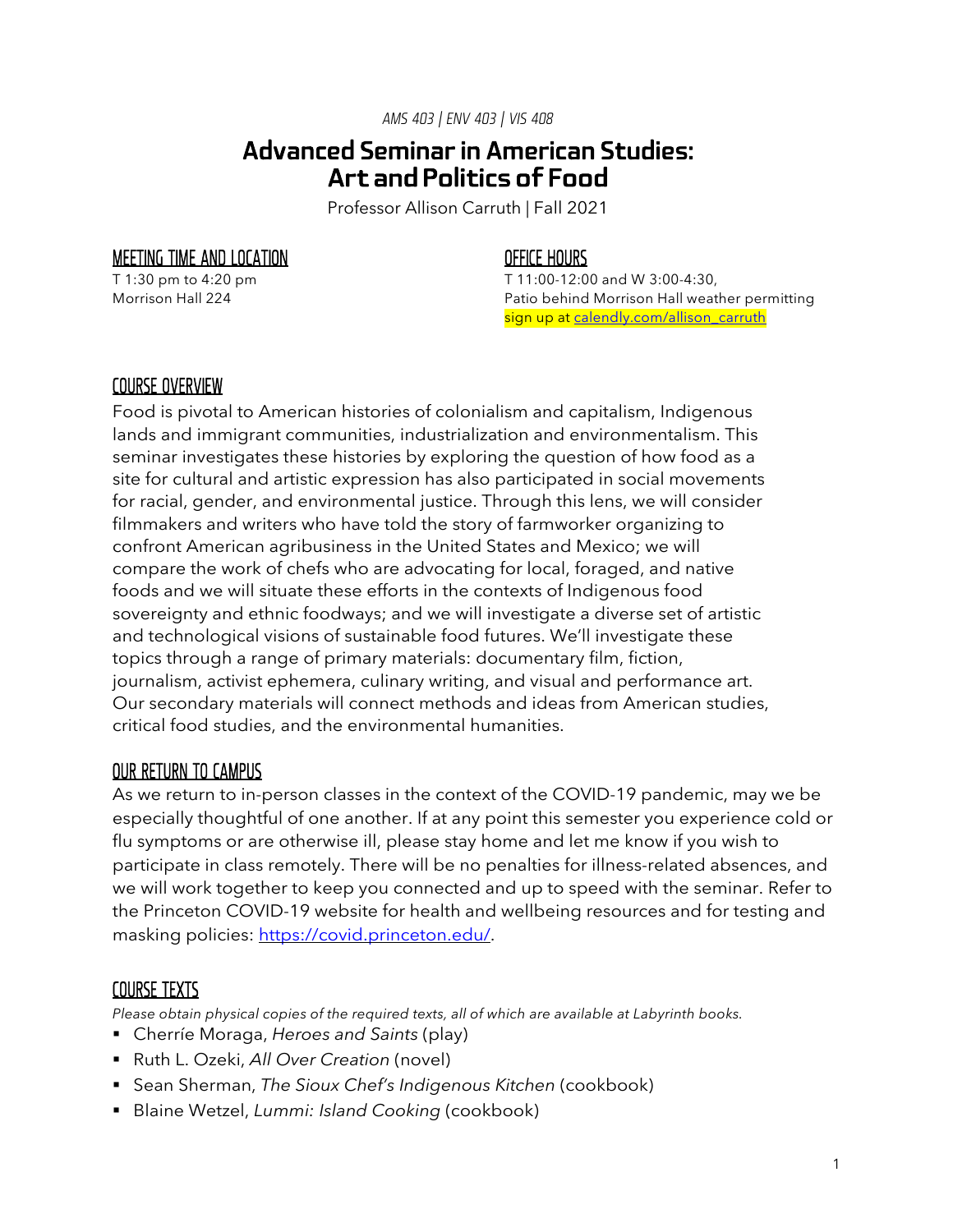*AMS 403 | ENV 403 | VIS 408*

# Advanced Seminar in American Studies: Art and Politics of Food

Professor Allison Carruth | Fall 2021

### MEETING TIME AND LOCATION

T 1:30 pm to 4:20 pm Morrison Hall 224

### OFFICE HOURS

T 11:00-12:00 and W 3:00-4:30, Patio behind Morrison Hall weather permitting sign up at calendly.com/allison\_carruth

### COURSE OVERVIEW

Food is pivotal to American histories of colonialism and capitalism, Indigenous lands and immigrant communities, industrialization and environmentalism. This seminar investigates these histories by exploring the question of how food as a site for cultural and artistic expression has also participated in social movements for racial, gender, and environmental justice. Through this lens, we will consider filmmakers and writers who have told the story of farmworker organizing to confront American agribusiness in the United States and Mexico; we will compare the work of chefs who are advocating for local, foraged, and native foods and we will situate these efforts in the contexts of Indigenous food sovereignty and ethnic foodways; and we will investigate a diverse set of artistic and technological visions of sustainable food futures. We'll investigate these topics through a range of primary materials: documentary film, fiction, journalism, activist ephemera, culinary writing, and visual and performance art. Our secondary materials will connect methods and ideas from American studies, critical food studies, and the environmental humanities.

#### OUR RETURN TO CAMPUS

As we return to in-person classes in the context of the COVID-19 pandemic, may we be especially thoughtful of one another. If at any point this semester you experience cold or flu symptoms or are otherwise ill, please stay home and let me know if you wish to participate in class remotely. There will be no penalties for illness-related absences, and we will work together to keep you connected and up to speed with the seminar. Refer to the Princeton COVID-19 website for health and wellbeing resources and for testing and masking policies: https://covid.princeton.edu/.

#### COURSE TEXTS

*Please obtain physical copies of the required texts, all of which are available at Labyrinth books.*

- § Cherríe Moraga, *Heroes and Saints* (play)
- § Ruth L. Ozeki, *All Over Creation* (novel)
- § Sean Sherman, *The Sioux Chef's Indigenous Kitchen* (cookbook)
- § Blaine Wetzel, *Lummi: Island Cooking* (cookbook)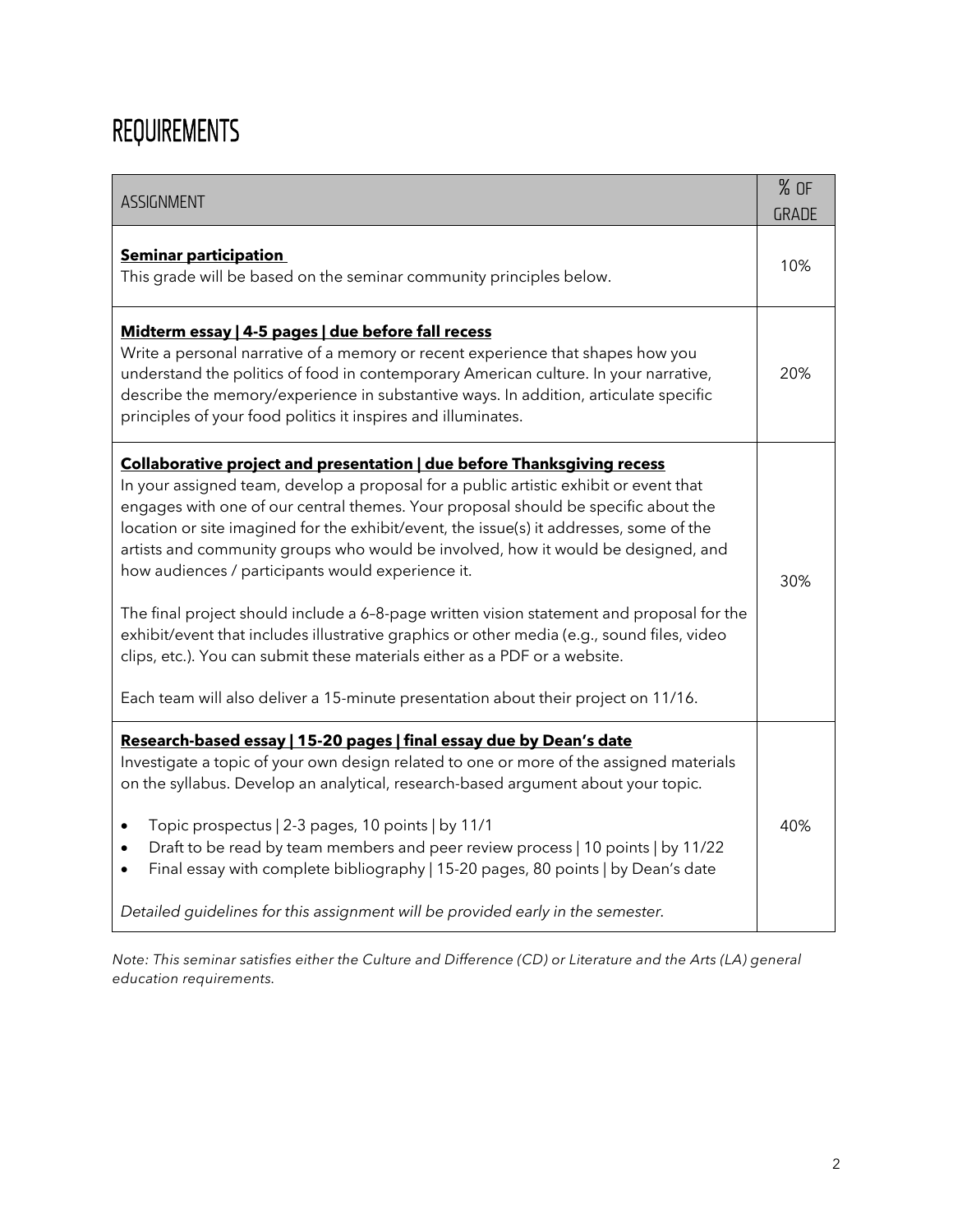# REQUIREMENTS

| ASSIGNMENT                                                                                                                                                                                                                                                                                                                                                                                                                                                                                                                                                                                                                                                                                                                                                                                                                                                 |     |
|------------------------------------------------------------------------------------------------------------------------------------------------------------------------------------------------------------------------------------------------------------------------------------------------------------------------------------------------------------------------------------------------------------------------------------------------------------------------------------------------------------------------------------------------------------------------------------------------------------------------------------------------------------------------------------------------------------------------------------------------------------------------------------------------------------------------------------------------------------|-----|
| <b>Seminar participation</b><br>This grade will be based on the seminar community principles below.                                                                                                                                                                                                                                                                                                                                                                                                                                                                                                                                                                                                                                                                                                                                                        |     |
| Midterm essay   4-5 pages   due before fall recess<br>Write a personal narrative of a memory or recent experience that shapes how you<br>understand the politics of food in contemporary American culture. In your narrative,<br>describe the memory/experience in substantive ways. In addition, articulate specific<br>principles of your food politics it inspires and illuminates.                                                                                                                                                                                                                                                                                                                                                                                                                                                                     | 20% |
| Collaborative project and presentation   due before Thanksgiving recess<br>In your assigned team, develop a proposal for a public artistic exhibit or event that<br>engages with one of our central themes. Your proposal should be specific about the<br>location or site imagined for the exhibit/event, the issue(s) it addresses, some of the<br>artists and community groups who would be involved, how it would be designed, and<br>how audiences / participants would experience it.<br>The final project should include a 6-8-page written vision statement and proposal for the<br>exhibit/event that includes illustrative graphics or other media (e.g., sound files, video<br>clips, etc.). You can submit these materials either as a PDF or a website.<br>Each team will also deliver a 15-minute presentation about their project on 11/16. |     |
| Research-based essay   15-20 pages   final essay due by Dean's date<br>Investigate a topic of your own design related to one or more of the assigned materials<br>on the syllabus. Develop an analytical, research-based argument about your topic.<br>Topic prospectus   2-3 pages, 10 points   by 11/1<br>$\bullet$<br>Draft to be read by team members and peer review process   10 points   by 11/22<br>$\bullet$<br>Final essay with complete bibliography   15-20 pages, 80 points   by Dean's date<br>Detailed guidelines for this assignment will be provided early in the semester.                                                                                                                                                                                                                                                               |     |

*Note: This seminar satisfies either the Culture and Difference (CD) or Literature and the Arts (LA) general education requirements.*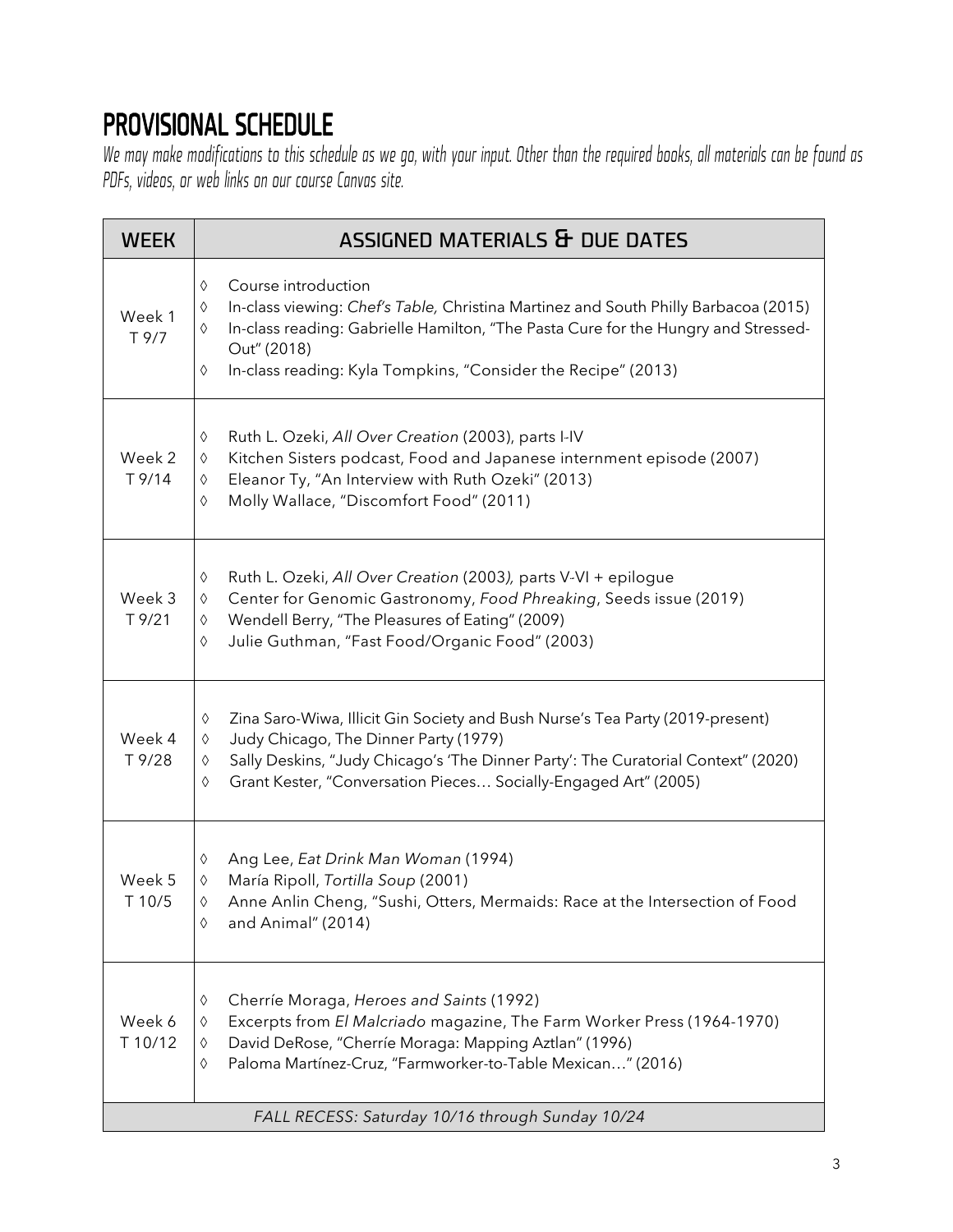# PROVISIONAL SCHEDULE

*We may make modifications to this schedule as we go, with your input. Other than the required books, all materials can be found as PDFs, videos, or web links on our course Canvas site.* 

| <b>WEEK</b>        | ASSIGNED MATERIALS & DUE DATES                                                                                                                                                                                                                                                                              |
|--------------------|-------------------------------------------------------------------------------------------------------------------------------------------------------------------------------------------------------------------------------------------------------------------------------------------------------------|
| Week 1<br>T 9/7    | Course introduction<br>♦<br>In-class viewing: Chef's Table, Christina Martinez and South Philly Barbacoa (2015)<br>♦<br>In-class reading: Gabrielle Hamilton, "The Pasta Cure for the Hungry and Stressed-<br>♦<br>Out" (2018)<br>In-class reading: Kyla Tompkins, "Consider the Recipe" (2013)<br>♦        |
| Week 2<br>T 9/14   | Ruth L. Ozeki, All Over Creation (2003), parts I-IV<br>♦<br>Kitchen Sisters podcast, Food and Japanese internment episode (2007)<br>$\Diamond$<br>Eleanor Ty, "An Interview with Ruth Ozeki" (2013)<br>♦<br>Molly Wallace, "Discomfort Food" (2011)<br>♦                                                    |
| Week 3<br>$T$ 9/21 | Ruth L. Ozeki, All Over Creation (2003), parts V-VI + epilogue<br>♦<br>Center for Genomic Gastronomy, Food Phreaking, Seeds issue (2019)<br>$\Diamond$<br>Wendell Berry, "The Pleasures of Eating" (2009)<br>♦<br>Julie Guthman, "Fast Food/Organic Food" (2003)<br>♦                                       |
| Week 4<br>T 9/28   | Zina Saro-Wiwa, Illicit Gin Society and Bush Nurse's Tea Party (2019-present)<br>♦<br>Judy Chicago, The Dinner Party (1979)<br>$\Diamond$<br>Sally Deskins, "Judy Chicago's 'The Dinner Party': The Curatorial Context" (2020)<br>♦<br>Grant Kester, "Conversation Pieces Socially-Engaged Art" (2005)<br>♦ |
| Week 5<br>T 10/5   | Ang Lee, Eat Drink Man Woman (1994)<br>♦<br>María Ripoll, Tortilla Soup (2001)<br>♦<br>Anne Anlin Cheng, "Sushi, Otters, Mermaids: Race at the Intersection of Food<br>♦<br>and Animal" (2014)<br>♦                                                                                                         |
| Week 6<br>T 10/12  | Cherríe Moraga, Heroes and Saints (1992)<br>♦<br>Excerpts from El Malcriado magazine, The Farm Worker Press (1964-1970)<br>♦<br>David DeRose, "Cherríe Moraga: Mapping Aztlan" (1996)<br>♦<br>Paloma Martínez-Cruz, "Farmworker-to-Table Mexican" (2016)<br>♦                                               |
|                    | FALL RECESS: Saturday 10/16 through Sunday 10/24                                                                                                                                                                                                                                                            |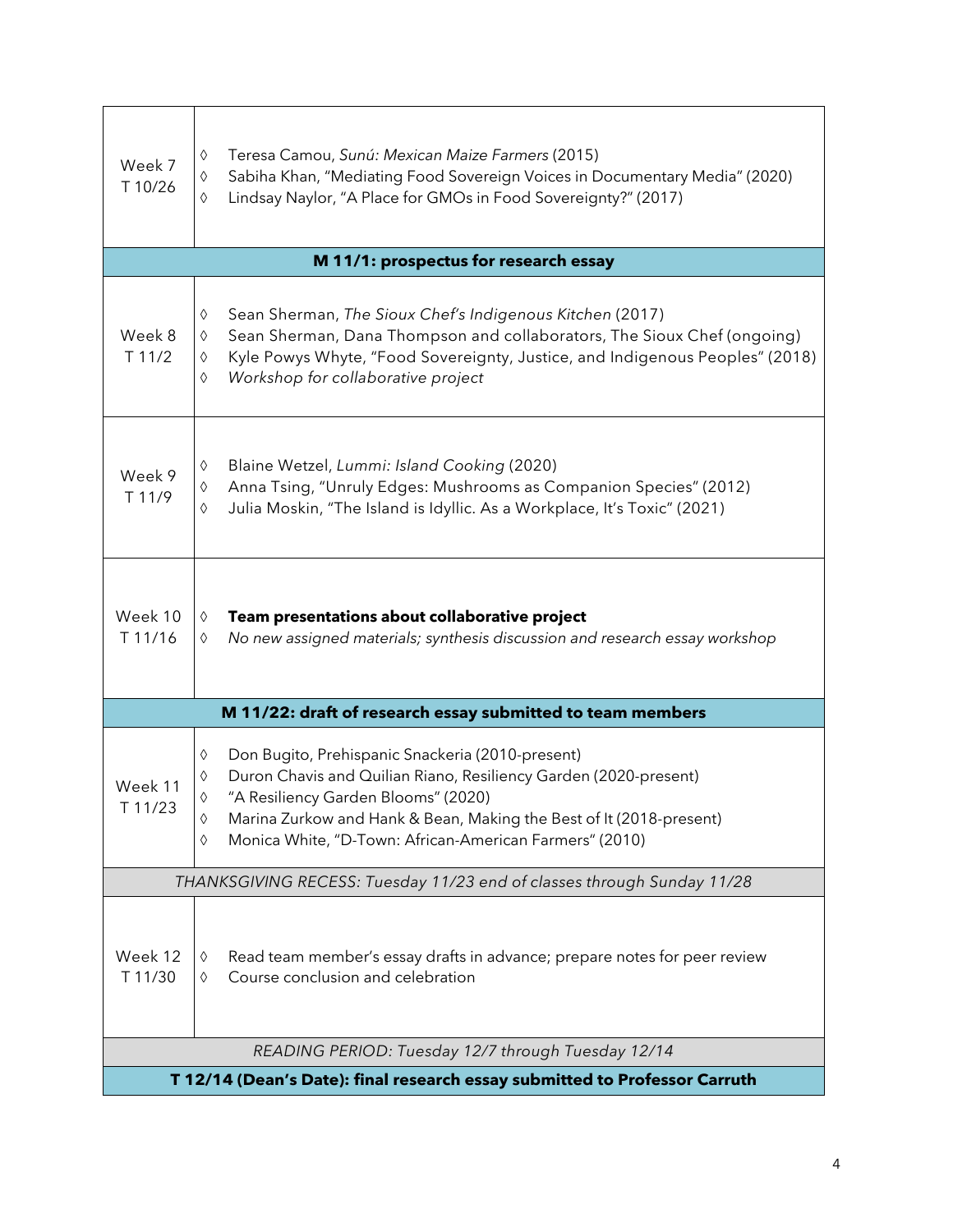| Week 7<br>T 10/26                                                          | Teresa Camou, Sunú: Mexican Maize Farmers (2015)<br>$\Diamond$<br>Sabiha Khan, "Mediating Food Sovereign Voices in Documentary Media" (2020)<br>$\Diamond$<br>$\Diamond$<br>Lindsay Naylor, "A Place for GMOs in Food Sovereignty?" (2017)                                                                                                        |  |
|----------------------------------------------------------------------------|---------------------------------------------------------------------------------------------------------------------------------------------------------------------------------------------------------------------------------------------------------------------------------------------------------------------------------------------------|--|
| M 11/1: prospectus for research essay                                      |                                                                                                                                                                                                                                                                                                                                                   |  |
| Week 8<br>T 11/2                                                           | Sean Sherman, The Sioux Chef's Indigenous Kitchen (2017)<br>♦<br>Sean Sherman, Dana Thompson and collaborators, The Sioux Chef (ongoing)<br>♦<br>Kyle Powys Whyte, "Food Sovereignty, Justice, and Indigenous Peoples" (2018)<br>$\Diamond$<br>Workshop for collaborative project<br>$\Diamond$                                                   |  |
| Week 9<br>T 11/9                                                           | Blaine Wetzel, Lummi: Island Cooking (2020)<br>♦<br>Anna Tsing, "Unruly Edges: Mushrooms as Companion Species" (2012)<br>$\Diamond$<br>Julia Moskin, "The Island is Idyllic. As a Workplace, It's Toxic" (2021)<br>$\Diamond$                                                                                                                     |  |
| Week 10<br>T 11/16                                                         | $\Diamond$<br>Team presentations about collaborative project<br>No new assigned materials; synthesis discussion and research essay workshop<br>$\Diamond$                                                                                                                                                                                         |  |
| M 11/22: draft of research essay submitted to team members                 |                                                                                                                                                                                                                                                                                                                                                   |  |
| Week 11<br>T 11/23                                                         | $\Diamond$<br>Don Bugito, Prehispanic Snackeria (2010-present)<br>Duron Chavis and Quilian Riano, Resiliency Garden (2020-present)<br>$\Diamond$<br>"A Resiliency Garden Blooms" (2020)<br>$\Diamond$<br>Marina Zurkow and Hank & Bean, Making the Best of It (2018-present)<br>♦<br>Monica White, "D-Town: African-American Farmers" (2010)<br>♦ |  |
|                                                                            | THANKSGIVING RECESS: Tuesday 11/23 end of classes through Sunday 11/28                                                                                                                                                                                                                                                                            |  |
| Week 12<br>T 11/30                                                         | Read team member's essay drafts in advance; prepare notes for peer review<br>♦<br>Course conclusion and celebration<br>♦                                                                                                                                                                                                                          |  |
| READING PERIOD: Tuesday 12/7 through Tuesday 12/14                         |                                                                                                                                                                                                                                                                                                                                                   |  |
| T 12/14 (Dean's Date): final research essay submitted to Professor Carruth |                                                                                                                                                                                                                                                                                                                                                   |  |